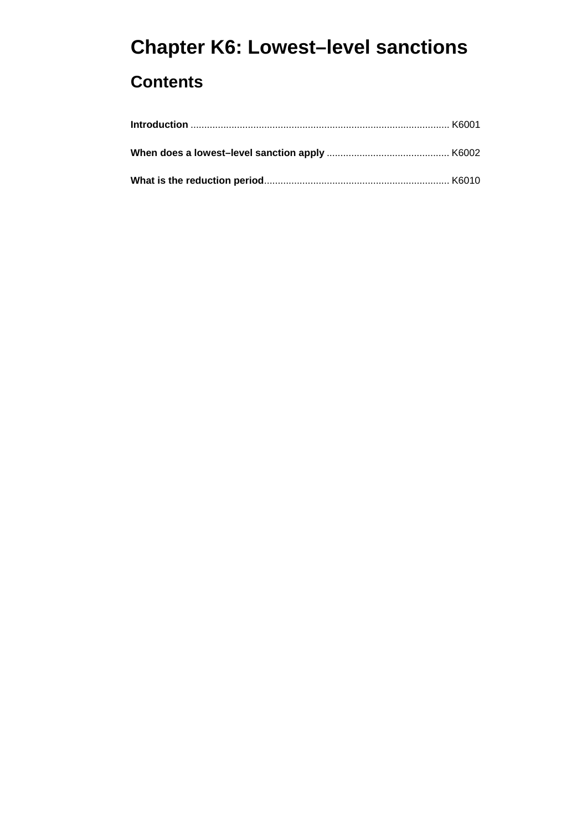# **Chapter K6: Lowest–level sanctions**

## **Contents**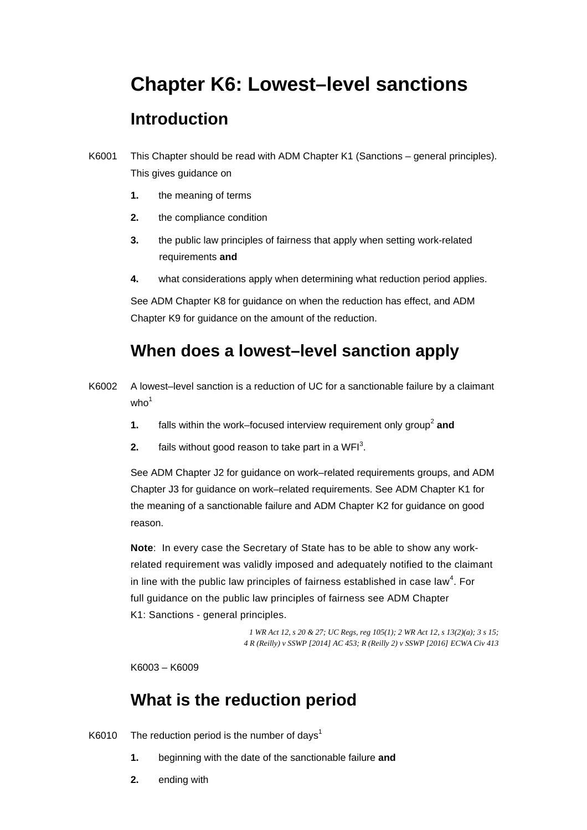## **Chapter K6: Lowest–level sanctions**

## **Introduction**

- K6001 This Chapter should be read with ADM Chapter K1 (Sanctions general principles). This gives guidance on
	- **1.** the meaning of terms
	- **2.** the compliance condition
	- **3.** the public law principles of fairness that apply when setting work-related requirements **and**
	- **4.** what considerations apply when determining what reduction period applies.

See ADM Chapter K8 for guidance on when the reduction has effect, and ADM Chapter K9 for guidance on the amount of the reduction.

## **When does a lowest–level sanction apply**

- K6002 A lowest–level sanction is a reduction of UC for a sanctionable failure by a claimant  $who<sup>1</sup>$ 
	- **1.** falls within the work–focused interview requirement only group<sup>2</sup> and
	- **2.** fails without good reason to take part in a WFI<sup>3</sup>.

See ADM Chapter J2 for guidance on work–related requirements groups, and ADM Chapter J3 for guidance on work–related requirements. See ADM Chapter K1 for the meaning of a sanctionable failure and ADM Chapter K2 for guidance on good reason.

**Note**: In every case the Secretary of State has to be able to show any workrelated requirement was validly imposed and adequately notified to the claimant in line with the public law principles of fairness established in case law<sup>4</sup>. For full guidance on the public law principles of fairness see ADM Chapter K1: Sanctions - general principles.

> *l* WR Act 12, *s* 20 & 27; *UC Regs, reg 105(1)*; 2 WR Act 12, *s* 13(2)(*a*); 3 *s* 15; *1 WR Act 12, s 20 & 27; UC Regs, reg 105(1); 2 WR Act 12, s 13(2)(a); 3 s 15; 4 R (Reilly) v SSWP [2014] AC 453; R (Reilly 2) v SSWP [2016] ECWA Civ 413*

K6003 – K6009

### **What is the reduction period**

K6010 The reduction period is the number of days<sup>1</sup>

- **1.** beginning with the date of the sanctionable failure **and**
- **2.** ending with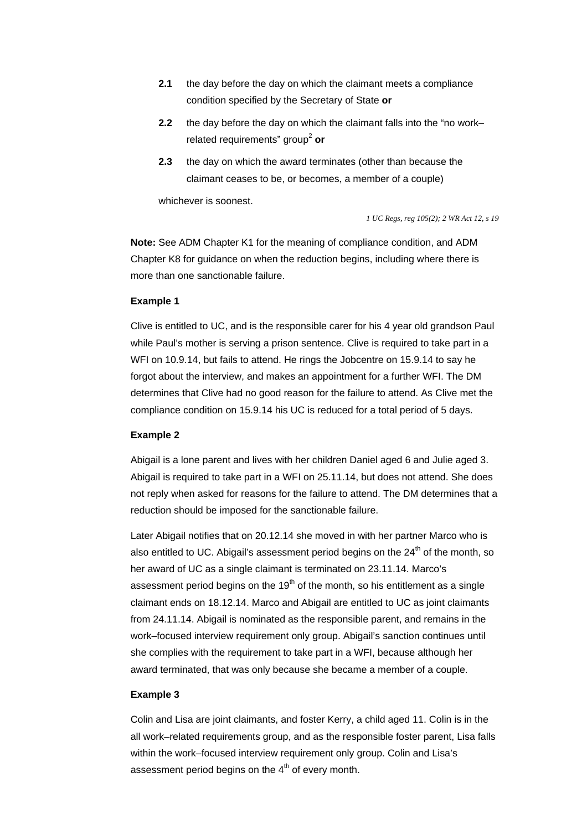- **2.1** the day before the day on which the claimant meets a compliance condition specified by the Secretary of State **or**
- related requirements" group<sup>2</sup> or **2.2** the day before the day on which the claimant falls into the "no work–
- **2.3** the day on which the award terminates (other than because the claimant ceases to be, or becomes, a member of a couple)

whichever is soonest.

*1 UC Regs, reg 105(2); 2 WR Act 12, s 19* 

**Note:** See ADM Chapter K1 for the meaning of compliance condition, and ADM Chapter K8 for guidance on when the reduction begins, including where there is more than one sanctionable failure.

#### **Example 1**

Clive is entitled to UC, and is the responsible carer for his 4 year old grandson Paul while Paul's mother is serving a prison sentence. Clive is required to take part in a WFI on 10.9.14, but fails to attend. He rings the Jobcentre on 15.9.14 to say he forgot about the interview, and makes an appointment for a further WFI. The DM determines that Clive had no good reason for the failure to attend. As Clive met the compliance condition on 15.9.14 his UC is reduced for a total period of 5 days.

#### **Example 2**

Abigail is a lone parent and lives with her children Daniel aged 6 and Julie aged 3. Abigail is required to take part in a WFI on 25.11.14, but does not attend. She does not reply when asked for reasons for the failure to attend. The DM determines that a reduction should be imposed for the sanctionable failure.

Later Abigail notifies that on 20.12.14 she moved in with her partner Marco who is also entitled to UC. Abigail's assessment period begins on the  $24<sup>th</sup>$  of the month, so her award of UC as a single claimant is terminated on 23.11.14. Marco's assessment period begins on the  $19<sup>th</sup>$  of the month, so his entitlement as a single claimant ends on 18.12.14. Marco and Abigail are entitled to UC as joint claimants from 24.11.14. Abigail is nominated as the responsible parent, and remains in the work–focused interview requirement only group. Abigail's sanction continues until she complies with the requirement to take part in a WFI, because although her award terminated, that was only because she became a member of a couple.

#### **Example 3**

Colin and Lisa are joint claimants, and foster Kerry, a child aged 11. Colin is in the all work–related requirements group, and as the responsible foster parent, Lisa falls within the work–focused interview requirement only group. Colin and Lisa's assessment period begins on the  $4<sup>th</sup>$  of every month.